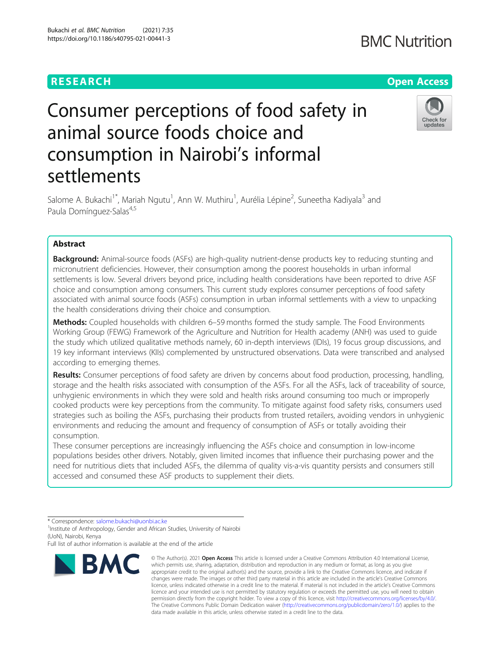Bukachi et al. BMC Nutrition (2021) 7:35 https://doi.org/10.1186/s40795-021-00441-3

# Consumer perceptions of food safety in animal source foods choice and consumption in Nairobi's informal settlements



Salome A. Bukachi<sup>1\*</sup>, Mariah Ngutu<sup>1</sup>, Ann W. Muthiru<sup>1</sup>, Aurélia Lépine<sup>2</sup>, Suneetha Kadiyala<sup>3</sup> and Paula Domínguez-Salas<sup>4,5</sup>

# Abstract

**Background:** Animal-source foods (ASFs) are high-quality nutrient-dense products key to reducing stunting and micronutrient deficiencies. However, their consumption among the poorest households in urban informal settlements is low. Several drivers beyond price, including health considerations have been reported to drive ASF choice and consumption among consumers. This current study explores consumer perceptions of food safety associated with animal source foods (ASFs) consumption in urban informal settlements with a view to unpacking the health considerations driving their choice and consumption.

Methods: Coupled households with children 6-59 months formed the study sample. The Food Environments Working Group (FEWG) Framework of the Agriculture and Nutrition for Health academy (ANH) was used to guide the study which utilized qualitative methods namely, 60 in-depth interviews (IDIs), 19 focus group discussions, and 19 key informant interviews (KIIs) complemented by unstructured observations. Data were transcribed and analysed according to emerging themes.

Results: Consumer perceptions of food safety are driven by concerns about food production, processing, handling, storage and the health risks associated with consumption of the ASFs. For all the ASFs, lack of traceability of source, unhygienic environments in which they were sold and health risks around consuming too much or improperly cooked products were key perceptions from the community. To mitigate against food safety risks, consumers used strategies such as boiling the ASFs, purchasing their products from trusted retailers, avoiding vendors in unhygienic environments and reducing the amount and frequency of consumption of ASFs or totally avoiding their consumption.

These consumer perceptions are increasingly influencing the ASFs choice and consumption in low-income populations besides other drivers. Notably, given limited incomes that influence their purchasing power and the need for nutritious diets that included ASFs, the dilemma of quality vis-a-vis quantity persists and consumers still accessed and consumed these ASF products to supplement their diets.

Full list of author information is available at the end of the article



<sup>©</sup> The Author(s), 2021 **Open Access** This article is licensed under a Creative Commons Attribution 4.0 International License, which permits use, sharing, adaptation, distribution and reproduction in any medium or format, as long as you give appropriate credit to the original author(s) and the source, provide a link to the Creative Commons licence, and indicate if changes were made. The images or other third party material in this article are included in the article's Creative Commons licence, unless indicated otherwise in a credit line to the material. If material is not included in the article's Creative Commons licence and your intended use is not permitted by statutory regulation or exceeds the permitted use, you will need to obtain permission directly from the copyright holder. To view a copy of this licence, visit [http://creativecommons.org/licenses/by/4.0/.](http://creativecommons.org/licenses/by/4.0/) The Creative Commons Public Domain Dedication waiver [\(http://creativecommons.org/publicdomain/zero/1.0/](http://creativecommons.org/publicdomain/zero/1.0/)) applies to the data made available in this article, unless otherwise stated in a credit line to the data.

<sup>\*</sup> Correspondence: [salome.bukachi@uonbi.ac.ke](mailto:salome.bukachi@uonbi.ac.ke) <sup>1</sup>

<sup>&</sup>lt;sup>1</sup> Institute of Anthropology, Gender and African Studies, University of Nairobi (UoN), Nairobi, Kenya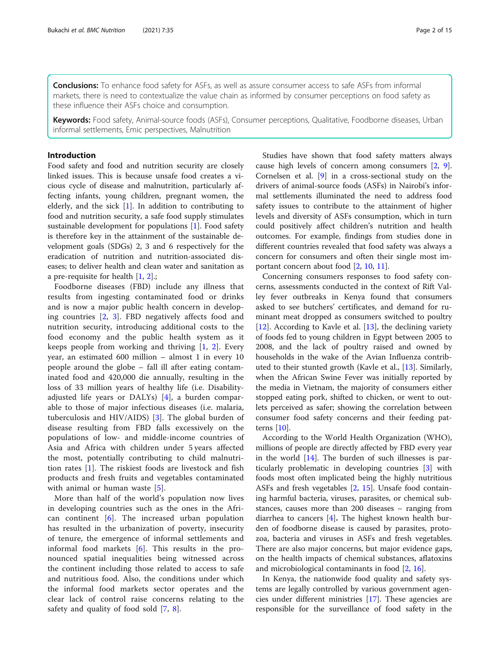**Conclusions:** To enhance food safety for ASFs, as well as assure consumer access to safe ASFs from informal markets, there is need to contextualize the value chain as informed by consumer perceptions on food safety as these influence their ASFs choice and consumption.

Keywords: Food safety, Animal-source foods (ASFs), Consumer perceptions, Qualitative, Foodborne diseases, Urban informal settlements, Emic perspectives, Malnutrition

# Introduction

Food safety and food and nutrition security are closely linked issues. This is because unsafe food creates a vicious cycle of disease and malnutrition, particularly affecting infants, young children, pregnant women, the elderly, and the sick [[1\]](#page-13-0). In addition to contributing to food and nutrition security, a safe food supply stimulates sustainable development for populations [\[1\]](#page-13-0). Food safety is therefore key in the attainment of the sustainable development goals (SDGs) 2, 3 and 6 respectively for the eradication of nutrition and nutrition-associated diseases; to deliver health and clean water and sanitation as a pre-requisite for health [[1,](#page-13-0) [2\]](#page-13-0).;

Foodborne diseases (FBD) include any illness that results from ingesting contaminated food or drinks and is now a major public health concern in developing countries [[2,](#page-13-0) [3](#page-13-0)]. FBD negatively affects food and nutrition security, introducing additional costs to the food economy and the public health system as it keeps people from working and thriving [[1,](#page-13-0) [2](#page-13-0)]. Every year, an estimated 600 million – almost 1 in every 10 people around the globe – fall ill after eating contaminated food and 420,000 die annually, resulting in the loss of 33 million years of healthy life (i.e. Disabilityadjusted life years or DALYs) [[4\]](#page-13-0), a burden comparable to those of major infectious diseases (i.e. malaria, tuberculosis and HIV/AIDS) [[3\]](#page-13-0). The global burden of disease resulting from FBD falls excessively on the populations of low- and middle-income countries of Asia and Africa with children under 5 years affected the most, potentially contributing to child malnutrition rates [\[1](#page-13-0)]. The riskiest foods are livestock and fish products and fresh fruits and vegetables contaminated with animal or human waste [[5\]](#page-13-0).

More than half of the world's population now lives in developing countries such as the ones in the African continent [[6\]](#page-13-0). The increased urban population has resulted in the urbanization of poverty, insecurity of tenure, the emergence of informal settlements and informal food markets [\[6](#page-13-0)]. This results in the pronounced spatial inequalities being witnessed across the continent including those related to access to safe and nutritious food. Also, the conditions under which the informal food markets sector operates and the clear lack of control raise concerns relating to the safety and quality of food sold [\[7](#page-13-0), [8\]](#page-13-0).

Studies have shown that food safety matters always cause high levels of concern among consumers [[2](#page-13-0), [9](#page-13-0)]. Cornelsen et al. [[9](#page-13-0)] in a cross-sectional study on the drivers of animal-source foods (ASFs) in Nairobi's informal settlements illuminated the need to address food safety issues to contribute to the attainment of higher levels and diversity of ASFs consumption, which in turn could positively affect children's nutrition and health outcomes. For example, findings from studies done in different countries revealed that food safety was always a concern for consumers and often their single most important concern about food [\[2,](#page-13-0) [10,](#page-13-0) [11\]](#page-13-0).

Concerning consumers responses to food safety concerns, assessments conducted in the context of Rift Valley fever outbreaks in Kenya found that consumers asked to see butchers' certificates, and demand for ruminant meat dropped as consumers switched to poultry [[12\]](#page-13-0). According to Kavle et al. [\[13\]](#page-13-0), the declining variety of foods fed to young children in Egypt between 2005 to 2008, and the lack of poultry raised and owned by households in the wake of the Avian Influenza contributed to their stunted growth (Kavle et al., [\[13](#page-13-0)]. Similarly, when the African Swine Fever was initially reported by the media in Vietnam, the majority of consumers either stopped eating pork, shifted to chicken, or went to outlets perceived as safer; showing the correlation between consumer food safety concerns and their feeding patterns [\[10](#page-13-0)].

According to the World Health Organization (WHO), millions of people are directly affected by FBD every year in the world [[14\]](#page-13-0). The burden of such illnesses is particularly problematic in developing countries [\[3\]](#page-13-0) with foods most often implicated being the highly nutritious ASFs and fresh vegetables [[2,](#page-13-0) [15](#page-13-0)]. Unsafe food containing harmful bacteria, viruses, parasites, or chemical substances, causes more than 200 diseases – ranging from diarrhea to cancers [\[4](#page-13-0)]. The highest known health burden of foodborne disease is caused by parasites, protozoa, bacteria and viruses in ASFs and fresh vegetables. There are also major concerns, but major evidence gaps, on the health impacts of chemical substances, aflatoxins and microbiological contaminants in food [\[2](#page-13-0), [16](#page-13-0)].

In Kenya, the nationwide food quality and safety systems are legally controlled by various government agencies under different ministries [\[17](#page-13-0)]. These agencies are responsible for the surveillance of food safety in the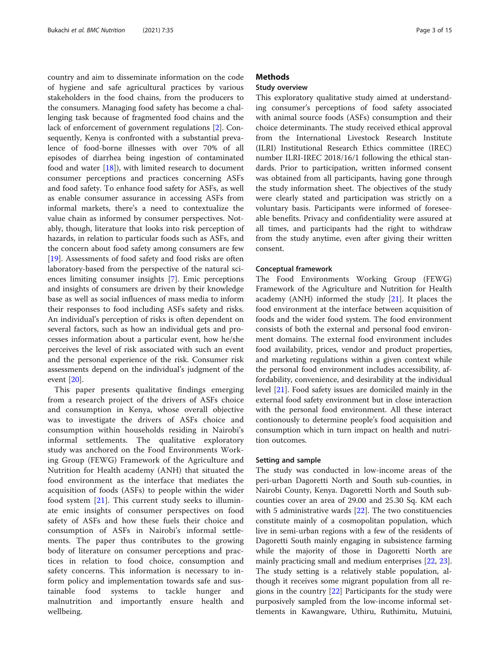country and aim to disseminate information on the code of hygiene and safe agricultural practices by various stakeholders in the food chains, from the producers to the consumers. Managing food safety has become a challenging task because of fragmented food chains and the lack of enforcement of government regulations [\[2](#page-13-0)]. Consequently, Kenya is confronted with a substantial prevalence of food-borne illnesses with over 70% of all episodes of diarrhea being ingestion of contaminated food and water [[18](#page-13-0)]), with limited research to document consumer perceptions and practices concerning ASFs and food safety. To enhance food safety for ASFs, as well as enable consumer assurance in accessing ASFs from informal markets, there's a need to contextualize the value chain as informed by consumer perspectives. Notably, though, literature that looks into risk perception of hazards, in relation to particular foods such as ASFs, and the concern about food safety among consumers are few [[19\]](#page-13-0). Assessments of food safety and food risks are often laboratory-based from the perspective of the natural sciences limiting consumer insights [\[7](#page-13-0)]. Emic perceptions and insights of consumers are driven by their knowledge base as well as social influences of mass media to inform their responses to food including ASFs safety and risks. An individual's perception of risks is often dependent on several factors, such as how an individual gets and processes information about a particular event, how he/she perceives the level of risk associated with such an event and the personal experience of the risk. Consumer risk assessments depend on the individual's judgment of the event [[20\]](#page-13-0).

This paper presents qualitative findings emerging from a research project of the drivers of ASFs choice and consumption in Kenya, whose overall objective was to investigate the drivers of ASFs choice and consumption within households residing in Nairobi's informal settlements. The qualitative exploratory study was anchored on the Food Environments Working Group (FEWG) Framework of the Agriculture and Nutrition for Health academy (ANH) that situated the food environment as the interface that mediates the acquisition of foods (ASFs) to people within the wider food system [\[21](#page-13-0)]. This current study seeks to illuminate emic insights of consumer perspectives on food safety of ASFs and how these fuels their choice and consumption of ASFs in Nairobi's informal settlements. The paper thus contributes to the growing body of literature on consumer perceptions and practices in relation to food choice, consumption and safety concerns. This information is necessary to inform policy and implementation towards safe and sustainable food systems to tackle hunger and malnutrition and importantly ensure health and wellbeing.

# **Methods**

# Study overview

This exploratory qualitative study aimed at understanding consumer's perceptions of food safety associated with animal source foods (ASFs) consumption and their choice determinants. The study received ethical approval from the International Livestock Research Institute (ILRI) Institutional Research Ethics committee (IREC) number ILRI-IREC 2018/16/1 following the ethical standards. Prior to participation, written informed consent was obtained from all participants, having gone through the study information sheet. The objectives of the study were clearly stated and participation was strictly on a voluntary basis. Participants were informed of foreseeable benefits. Privacy and confidentiality were assured at all times, and participants had the right to withdraw from the study anytime, even after giving their written consent.

## Conceptual framework

The Food Environments Working Group (FEWG) Framework of the Agriculture and Nutrition for Health academy (ANH) informed the study [[21\]](#page-13-0). It places the food environment at the interface between acquisition of foods and the wider food system. The food environment consists of both the external and personal food environment domains. The external food environment includes food availability, prices, vendor and product properties, and marketing regulations within a given context while the personal food environment includes accessibility, affordability, convenience, and desirability at the individual level [\[21](#page-13-0)]. Food safety issues are domiciled mainly in the external food safety environment but in close interaction with the personal food environment. All these interact contionously to determine people's food acquisition and consumption which in turn impact on health and nutrition outcomes.

### Setting and sample

The study was conducted in low-income areas of the peri-urban Dagoretti North and South sub-counties, in Nairobi County, Kenya. Dagoretti North and South subcounties cover an area of 29.00 and 25.30 Sq. KM each with 5 administrative wards [[22\]](#page-14-0). The two constituencies constitute mainly of a cosmopolitan population, which live in semi-urban regions with a few of the residents of Dagoretti South mainly engaging in subsistence farming while the majority of those in Dagoretti North are mainly practicing small and medium enterprises [\[22](#page-14-0), [23](#page-14-0)]. The study setting is a relatively stable population, although it receives some migrant population from all regions in the country [\[22\]](#page-14-0) Participants for the study were purposively sampled from the low-income informal settlements in Kawangware, Uthiru, Ruthimitu, Mutuini,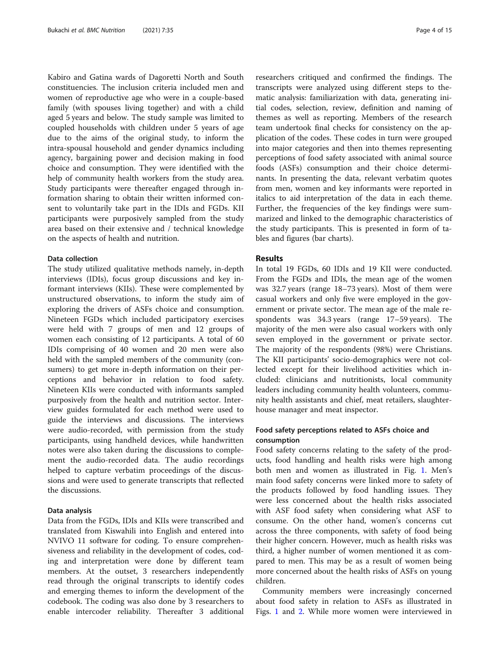Kabiro and Gatina wards of Dagoretti North and South constituencies. The inclusion criteria included men and women of reproductive age who were in a couple-based family (with spouses living together) and with a child aged 5 years and below. The study sample was limited to coupled households with children under 5 years of age due to the aims of the original study, to inform the intra-spousal household and gender dynamics including agency, bargaining power and decision making in food choice and consumption. They were identified with the help of community health workers from the study area. Study participants were thereafter engaged through information sharing to obtain their written informed consent to voluntarily take part in the IDIs and FGDs. KII participants were purposively sampled from the study area based on their extensive and / technical knowledge on the aspects of health and nutrition.

# Data collection

The study utilized qualitative methods namely, in-depth interviews (IDIs), focus group discussions and key informant interviews (KIIs). These were complemented by unstructured observations, to inform the study aim of exploring the drivers of ASFs choice and consumption. Nineteen FGDs which included participatory exercises were held with 7 groups of men and 12 groups of women each consisting of 12 participants. A total of 60 IDIs comprising of 40 women and 20 men were also held with the sampled members of the community (consumers) to get more in-depth information on their perceptions and behavior in relation to food safety. Nineteen KIIs were conducted with informants sampled purposively from the health and nutrition sector. Interview guides formulated for each method were used to guide the interviews and discussions. The interviews were audio-recorded, with permission from the study participants, using handheld devices, while handwritten notes were also taken during the discussions to complement the audio-recorded data. The audio recordings helped to capture verbatim proceedings of the discussions and were used to generate transcripts that reflected the discussions.

#### Data analysis

Data from the FGDs, IDIs and KIIs were transcribed and translated from Kiswahili into English and entered into NVIVO 11 software for coding. To ensure comprehensiveness and reliability in the development of codes, coding and interpretation were done by different team members. At the outset, 3 researchers independently read through the original transcripts to identify codes and emerging themes to inform the development of the codebook. The coding was also done by 3 researchers to enable intercoder reliability. Thereafter 3 additional

researchers critiqued and confirmed the findings. The transcripts were analyzed using different steps to thematic analysis: familiarization with data, generating initial codes, selection, review, definition and naming of themes as well as reporting. Members of the research team undertook final checks for consistency on the application of the codes. These codes in turn were grouped into major categories and then into themes representing perceptions of food safety associated with animal source foods (ASFs) consumption and their choice determinants. In presenting the data, relevant verbatim quotes from men, women and key informants were reported in italics to aid interpretation of the data in each theme. Further, the frequencies of the key findings were summarized and linked to the demographic characteristics of the study participants. This is presented in form of tables and figures (bar charts).

# Results

In total 19 FGDs, 60 IDIs and 19 KII were conducted. From the FGDs and IDIs, the mean age of the women was 32.7 years (range 18–73 years). Most of them were casual workers and only five were employed in the government or private sector. The mean age of the male respondents was 34.3 years (range 17–59 years). The majority of the men were also casual workers with only seven employed in the government or private sector. The majority of the respondents (98%) were Christians. The KII participants' socio-demographics were not collected except for their livelihood activities which included: clinicians and nutritionists, local community leaders including community health volunteers, community health assistants and chief, meat retailers, slaughterhouse manager and meat inspector.

# Food safety perceptions related to ASFs choice and consumption

Food safety concerns relating to the safety of the products, food handling and health risks were high among both men and women as illustrated in Fig. [1](#page-4-0). Men's main food safety concerns were linked more to safety of the products followed by food handling issues. They were less concerned about the health risks associated with ASF food safety when considering what ASF to consume. On the other hand, women's concerns cut across the three components, with safety of food being their higher concern. However, much as health risks was third, a higher number of women mentioned it as compared to men. This may be as a result of women being more concerned about the health risks of ASFs on young children.

Community members were increasingly concerned about food safety in relation to ASFs as illustrated in Figs. [1](#page-4-0) and [2.](#page-4-0) While more women were interviewed in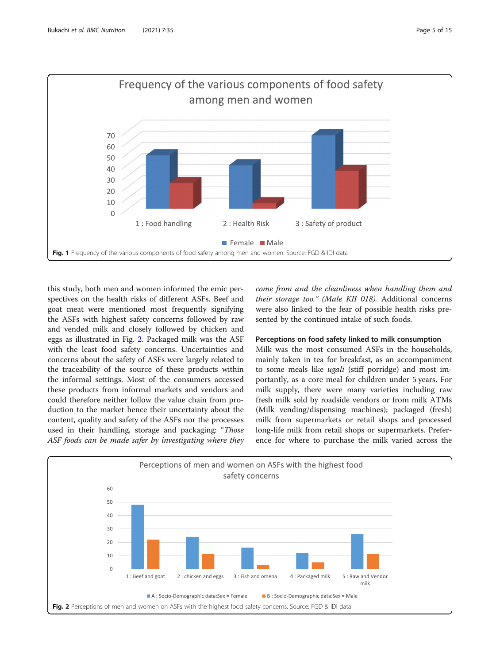<span id="page-4-0"></span>

this study, both men and women informed the emic perspectives on the health risks of different ASFs. Beef and goat meat were mentioned most frequently signifying the ASFs with highest safety concerns followed by raw and vended milk and closely followed by chicken and eggs as illustrated in Fig. 2. Packaged milk was the ASF with the least food safety concerns. Uncertainties and concerns about the safety of ASFs were largely related to the traceability of the source of these products within the informal settings. Most of the consumers accessed these products from informal markets and vendors and could therefore neither follow the value chain from production to the market hence their uncertainty about the content, quality and safety of the ASFs nor the processes used in their handling, storage and packaging: "Those ASF foods can be made safer by investigating where they come from and the cleanliness when handling them and their storage too." (Male KII 018). Additional concerns were also linked to the fear of possible health risks presented by the continued intake of such foods.

# Perceptions on food safety linked to milk consumption

Milk was the most consumed ASFs in the households, mainly taken in tea for breakfast, as an accompaniment to some meals like *ugali* (stiff porridge) and most importantly, as a core meal for children under 5 years. For milk supply, there were many varieties including raw fresh milk sold by roadside vendors or from milk ATMs (Milk vending/dispensing machines); packaged (fresh) milk from supermarkets or retail shops and processed long-life milk from retail shops or supermarkets. Preference for where to purchase the milk varied across the

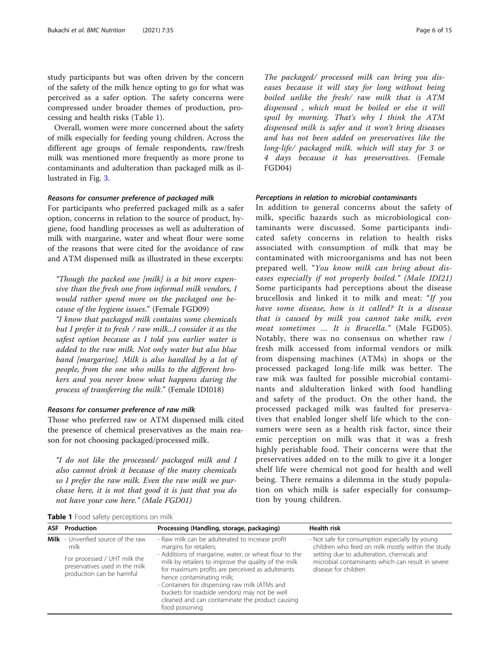study participants but was often driven by the concern of the safety of the milk hence opting to go for what was perceived as a safer option. The safety concerns were compressed under broader themes of production, processing and health risks (Table 1).

Overall, women were more concerned about the safety of milk especially for feeding young children. Across the different age groups of female respondents, raw/fresh milk was mentioned more frequently as more prone to contaminants and adulteration than packaged milk as illustrated in Fig. [3.](#page-6-0)

# Reasons for consumer preference of packaged milk

For participants who preferred packaged milk as a safer option, concerns in relation to the source of product, hygiene, food handling processes as well as adulteration of milk with margarine, water and wheat flour were some of the reasons that were cited for the avoidance of raw and ATM dispensed milk as illustrated in these excerpts:

"Though the packed one [milk] is a bit more expensive than the fresh one from informal milk vendors, I would rather spend more on the packaged one because of the hygiene issues." (Female FGD09)

"I know that packaged milk contains some chemicals but I prefer it to fresh / raw milk...I consider it as the safest option because as I told you earlier water is added to the raw milk. Not only water but also blue band [margarine]. Milk is also handled by a lot of people, from the one who milks to the different brokers and you never know what happens during the process of transferring the milk." (Female IDI018)

# Reasons for consumer preference of raw milk

Those who preferred raw or ATM dispensed milk cited the presence of chemical preservatives as the main reason for not choosing packaged/processed milk.

"I do not like the processed/ packaged milk and I also cannot drink it because of the many chemicals so I prefer the raw milk. Even the raw milk we purchase here, it is not that good it is just that you do not have your cow here." (Male FGD01)

The packaged/ processed milk can bring you diseases because it will stay for long without being boiled unlike the fresh/ raw milk that is ATM dispensed , which must be boiled or else it will spoil by morning. That's why I think the ATM dispensed milk is safer and it won't bring diseases and has not been added on preservatives like the long-life/ packaged milk. which will stay for 3 or 4 days because it has preservatives. (Female FGD04)

#### Perceptions in relation to microbial contaminants

In addition to general concerns about the safety of milk, specific hazards such as microbiological contaminants were discussed. Some participants indicated safety concerns in relation to health risks associated with consumption of milk that may be contaminated with microorganisms and has not been prepared well. "You know milk can bring about diseases especially if not properly boiled." (Male IDI21) Some participants had perceptions about the disease brucellosis and linked it to milk and meat: "If you have some disease, how is it called? It is a disease that is caused by milk you cannot take milk, even meat sometimes ... It is Brucella." (Male FGD05). Notably, there was no consensus on whether raw / fresh milk accessed from informal vendors or milk from dispensing machines (ATMs) in shops or the processed packaged long-life milk was better. The raw mik was faulted for possible microbial contaminants and aldulteration linked with food handling and safety of the product. On the other hand, the processed packaged milk was faulted for preservatives that enabled longer shelf life which to the consumers were seen as a health risk factor, since their emic perception on milk was that it was a fresh highly perishable food. Their concerns were that the preservatives added on to the milk to give it a longer shelf life were chemical not good for health and well being. There remains a dilemma in the study population on which milk is safer especially for consumption by young children.

|  |  | Table 1 Food safety perceptions on milk |  |
|--|--|-----------------------------------------|--|
|--|--|-----------------------------------------|--|

| <b>ASF</b> Production                                                                                                                      | Processing (Handling, storage, packaging)                                                                                                                                                                                                                                                                                                                                                                                                             | <b>Health risk</b>                                                                                                                                                                                                             |
|--------------------------------------------------------------------------------------------------------------------------------------------|-------------------------------------------------------------------------------------------------------------------------------------------------------------------------------------------------------------------------------------------------------------------------------------------------------------------------------------------------------------------------------------------------------------------------------------------------------|--------------------------------------------------------------------------------------------------------------------------------------------------------------------------------------------------------------------------------|
| Milk - Unverified source of the raw<br>milk<br>For processed / UHT milk the<br>preservatives used in the milk<br>production can be harmful | - Raw milk can be adulterated to increase profit<br>margins for retailers;<br>- Additions of margarine, water, or wheat flour to the<br>milk by retailers to improve the quality of the milk<br>for maximum profits are perceived as adulterants<br>hence contaminating milk;<br>- Containers for dispensing raw milk (ATMs and<br>buckets for roadside vendors) may not be well<br>cleaned and can contaminate the product causing<br>food poisoning | - Not safe for consumption especially by young<br>children who feed on milk mostly within the study<br>setting due to adulteration, chemicals and<br>microbial contaminants which can result in severe<br>disease for children |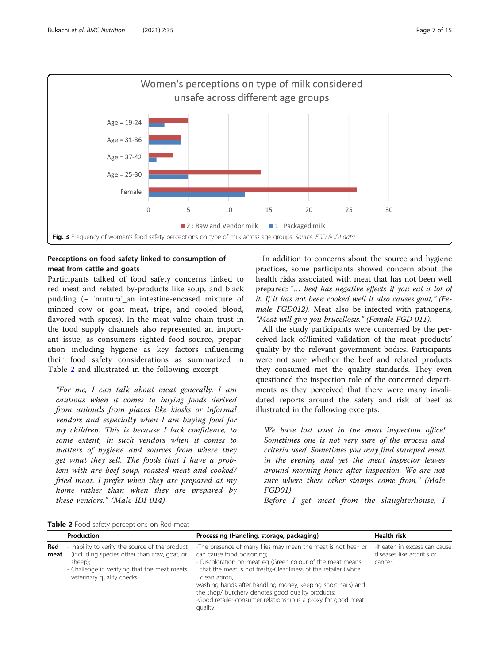<span id="page-6-0"></span>

# Perceptions on food safety linked to consumption of meat from cattle and goats

Participants talked of food safety concerns linked to red meat and related by-products like soup, and black pudding (- 'mutura' an intestine-encased mixture of minced cow or goat meat, tripe, and cooled blood, flavored with spices). In the meat value chain trust in the food supply channels also represented an important issue, as consumers sighted food source, preparation including hygiene as key factors influencing their food safety considerations as summarized in Table 2 and illustrated in the following excerpt

"For me, I can talk about meat generally. I am cautious when it comes to buying foods derived from animals from places like kiosks or informal vendors and especially when I am buying food for my children. This is because I lack confidence, to some extent, in such vendors when it comes to matters of hygiene and sources from where they get what they sell. The foods that I have a problem with are beef soup, roasted meat and cooked/ fried meat. I prefer when they are prepared at my home rather than when they are prepared by these vendors." (Male IDI 014)

In addition to concerns about the source and hygiene practices, some participants showed concern about the health risks associated with meat that has not been well prepared: "… beef has negative effects if you eat a lot of it. If it has not been cooked well it also causes gout," (Female FGD012). Meat also be infected with pathogens, "Meat will give you brucellosis." (Female FGD 011).

All the study participants were concerned by the perceived lack of/limited validation of the meat products' quality by the relevant government bodies. Participants were not sure whether the beef and related products they consumed met the quality standards. They even questioned the inspection role of the concerned departments as they perceived that there were many invalidated reports around the safety and risk of beef as illustrated in the following excerpts:

We have lost trust in the meat inspection office! Sometimes one is not very sure of the process and criteria used. Sometimes you may find stamped meat in the evening and yet the meat inspector leaves around morning hours after inspection. We are not sure where these other stamps come from." (Male FGD01)

Before I get meat from the slaughterhouse, I

Table 2 Food safety perceptions on Red meat

|             | Production                                                                                                                                                                              | Processing (Handling, storage, packaging)                                                                                                                                                                                                                                                                                                                                                                                                     | <b>Health risk</b>                                                     |
|-------------|-----------------------------------------------------------------------------------------------------------------------------------------------------------------------------------------|-----------------------------------------------------------------------------------------------------------------------------------------------------------------------------------------------------------------------------------------------------------------------------------------------------------------------------------------------------------------------------------------------------------------------------------------------|------------------------------------------------------------------------|
| Red<br>meat | - Inability to verify the source of the product<br>(including species other than cow, goat, or<br>sheep);<br>- Challenge in verifying that the meat meets<br>veterinary quality checks. | -The presence of many flies may mean the meat is not fresh or<br>can cause food poisoning;<br>- Discoloration on meat eg (Green colour of the meat means<br>that the meat is not fresh);-Cleanliness of the retailer (white<br>clean apron,<br>washing hands after handling money, keeping short nails) and<br>the shop/ butchery denotes good quality products;<br>-Good retailer-consumer relationship is a proxy for good meat<br>quality. | -If eaten in excess can cause<br>diseases like arthritis or<br>cancer. |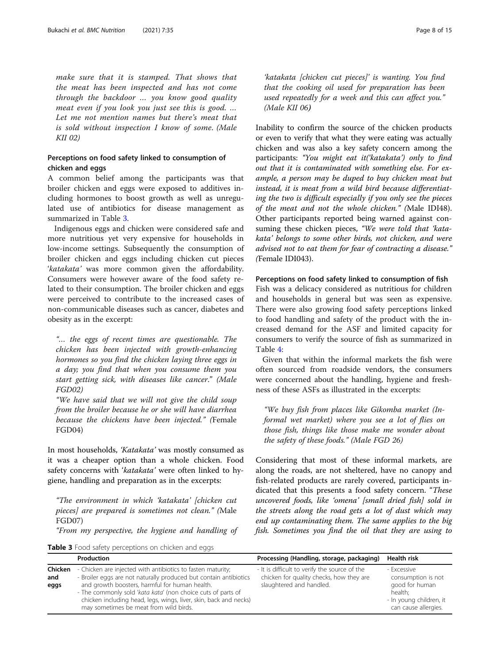make sure that it is stamped. That shows that the meat has been inspected and has not come through the backdoor … you know good quality meat even if you look you just see this is good. … Let me not mention names but there's meat that is sold without inspection I know of some. (Male KII 02)

# Perceptions on food safety linked to consumption of chicken and eggs

A common belief among the participants was that broiler chicken and eggs were exposed to additives including hormones to boost growth as well as unregulated use of antibiotics for disease management as summarized in Table 3.

Indigenous eggs and chicken were considered safe and more nutritious yet very expensive for households in low-income settings. Subsequently the consumption of broiler chicken and eggs including chicken cut pieces 'katakata' was more common given the affordability. Consumers were however aware of the food safety related to their consumption. The broiler chicken and eggs were perceived to contribute to the increased cases of non-communicable diseases such as cancer, diabetes and obesity as in the excerpt:

"… the eggs of recent times are questionable. The chicken has been injected with growth-enhancing hormones so you find the chicken laying three eggs in a day; you find that when you consume them you start getting sick, with diseases like cancer." (Male FGD02)

"We have said that we will not give the child soup from the broiler because he or she will have diarrhea because the chickens have been injected." (Female FGD04)

In most households, 'Katakata' was mostly consumed as it was a cheaper option than a whole chicken. Food safety concerns with 'katakata' were often linked to hygiene, handling and preparation as in the excerpts:

"The environment in which 'katakata' [chicken cut pieces] are prepared is sometimes not clean." (Male FGD07)

"From my perspective, the hygiene and handling of

'katakata [chicken cut pieces]' is wanting. You find that the cooking oil used for preparation has been used repeatedly for a week and this can affect you." (Male KII 06)

Inability to confirm the source of the chicken products or even to verify that what they were eating was actually chicken and was also a key safety concern among the participants: "You might eat it ('katakata') only to find out that it is contaminated with something else. For example, a person may be duped to buy chicken meat but instead, it is meat from a wild bird because differentiating the two is difficult especially if you only see the pieces of the meat and not the whole chicken." (Male IDI48). Other participants reported being warned against consuming these chicken pieces, "We were told that 'katakata' belongs to some other birds, not chicken, and were advised not to eat them for fear of contracting a disease." (Female IDI043).

# Perceptions on food safety linked to consumption of fish

Fish was a delicacy considered as nutritious for children and households in general but was seen as expensive. There were also growing food safety perceptions linked to food handling and safety of the product with the increased demand for the ASF and limited capacity for consumers to verify the source of fish as summarized in Table [4:](#page-8-0)

Given that within the informal markets the fish were often sourced from roadside vendors, the consumers were concerned about the handling, hygiene and freshness of these ASFs as illustrated in the excerpts:

"We buy fish from places like Gikomba market (Informal wet market) where you see a lot of flies on those fish, things like those make me wonder about the safety of these foods." (Male FGD 26)

Considering that most of these informal markets, are along the roads, are not sheltered, have no canopy and fish-related products are rarely covered, participants indicated that this presents a food safety concern. "These uncovered foods, like 'omena' [small dried fish] sold in the streets along the road gets a lot of dust which may end up contaminating them. The same applies to the big fish. Sometimes you find the oil that they are using to

| Table 3 Food safety perceptions on chicken and eggs |  |  |  |
|-----------------------------------------------------|--|--|--|
|-----------------------------------------------------|--|--|--|

|                        | Production                                                                                                                                                                                                                                                                                                                                                        | Processing (Handling, storage, packaging)                                                                             | Health risk                                                                                                       |
|------------------------|-------------------------------------------------------------------------------------------------------------------------------------------------------------------------------------------------------------------------------------------------------------------------------------------------------------------------------------------------------------------|-----------------------------------------------------------------------------------------------------------------------|-------------------------------------------------------------------------------------------------------------------|
| Chicken<br>and<br>eggs | - Chicken are injected with antibiotics to fasten maturity;<br>- Broiler eggs are not naturally produced but contain antibiotics<br>and growth boosters, harmful for human health.<br>- The commonly sold 'kata kata' (non choice cuts of parts of<br>chicken including head, legs, wings, liver, skin, back and necks)<br>may sometimes be meat from wild birds. | - It is difficult to verify the source of the<br>chicken for quality checks, how they are<br>slaughtered and handled. | - Excessive<br>consumption is not<br>good for human<br>health:<br>- In young children, it<br>can cause allergies. |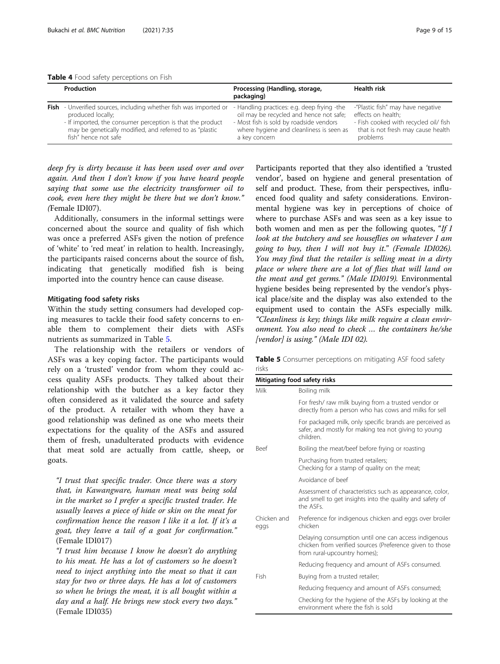<span id="page-8-0"></span>

| Table 4 Food safety perceptions on Fish |  |  |  |  |  |  |
|-----------------------------------------|--|--|--|--|--|--|
|-----------------------------------------|--|--|--|--|--|--|

| Production                                                               | Processing (Handling, storage,<br>packaging) | <b>Health risk</b>                    |
|--------------------------------------------------------------------------|----------------------------------------------|---------------------------------------|
| <b>Fish</b> - Unverified sources, including whether fish was imported or | - Handling practices: e.g. deep frying -the  | -"Plastic fish" may have negative     |
| produced locally;                                                        | oil may be recycled and hence not safe;      | effects on health;                    |
| - If imported, the consumer perception is that the product               | - Most fish is sold by roadside vendors      | - Fish cooked with recycled oil/ fish |
| may be genetically modified, and referred to as "plastic                 | where hygiene and cleanliness is seen as     | that is not fresh may cause health    |
| fish" hence not safe                                                     | a key concern                                | problems                              |

deep fry is dirty because it has been used over and over again. And then I don't know if you have heard people saying that some use the electricity transformer oil to cook, even here they might be there but we don't know." (Female IDI07).

Additionally, consumers in the informal settings were concerned about the source and quality of fish which was once a preferred ASFs given the notion of prefence of 'white' to 'red meat' in relation to health. Increasingly, the participants raised concerns about the source of fish, indicating that genetically modified fish is being imported into the country hence can cause disease.

### Mitigating food safety risks

Within the study setting consumers had developed coping measures to tackle their food safety concerns to enable them to complement their diets with ASFs nutrients as summarized in Table 5.

The relationship with the retailers or vendors of ASFs was a key coping factor. The participants would rely on a 'trusted' vendor from whom they could access quality ASFs products. They talked about their relationship with the butcher as a key factor they often considered as it validated the source and safety of the product. A retailer with whom they have a good relationship was defined as one who meets their expectations for the quality of the ASFs and assured them of fresh, unadulterated products with evidence that meat sold are actually from cattle, sheep, or goats.

"I trust that specific trader. Once there was a story that, in Kawangware, human meat was being sold in the market so I prefer a specific trusted trader. He usually leaves a piece of hide or skin on the meat for confirmation hence the reason I like it a lot. If it's a goat, they leave a tail of a goat for confirmation." (Female IDI017)

"I trust him because I know he doesn't do anything to his meat. He has a lot of customers so he doesn't need to inject anything into the meat so that it can stay for two or three days. He has a lot of customers so when he brings the meat, it is all bought within a day and a half. He brings new stock every two days." (Female IDI035)

Participants reported that they also identified a 'trusted vendor', based on hygiene and general presentation of self and product. These, from their perspectives, influenced food quality and safety considerations. Environmental hygiene was key in perceptions of choice of where to purchase ASFs and was seen as a key issue to both women and men as per the following quotes, "If I look at the butchery and see houseflies on whatever I am going to buy, then I will not buy it." (Female IDI026). You may find that the retailer is selling meat in a dirty place or where there are a lot of flies that will land on the meat and get germs." (Male IDI019). Environmental hygiene besides being represented by the vendor's physical place/site and the display was also extended to the equipment used to contain the ASFs especially milk. "Cleanliness is key; things like milk require a clean environment. You also need to check … the containers he/she [vendor] is using." (Male IDI 02).

**Table 5** Consumer perceptions on mitigating ASF food safety risks

|                     | Mitigating food safety risks                                                                                                                     |
|---------------------|--------------------------------------------------------------------------------------------------------------------------------------------------|
| Milk                | Boiling milk                                                                                                                                     |
|                     | For fresh/ raw milk buying from a trusted vendor or<br>directly from a person who has cows and milks for sell                                    |
|                     | For packaged milk, only specific brands are perceived as<br>safer, and mostly for making tea not giving to young<br>children.                    |
| <b>Beef</b>         | Boiling the meat/beef before frying or roasting                                                                                                  |
|                     | Purchasing from trusted retailers;<br>Checking for a stamp of quality on the meat;                                                               |
|                     | Avoidance of heef                                                                                                                                |
|                     | Assessment of characteristics such as appearance, color,<br>and smell to get insights into the quality and safety of<br>the ASFs.                |
| Chicken and<br>eggs | Preference for indigenous chicken and eggs over broiler<br>chicken                                                                               |
|                     | Delaying consumption until one can access indigenous<br>chicken from verified sources (Preference given to those<br>from rural-upcountry homes); |
|                     | Reducing frequency and amount of ASFs consumed.                                                                                                  |
| Fish                | Buying from a trusted retailer;                                                                                                                  |
|                     | Reducing frequency and amount of ASFs consumed;                                                                                                  |
|                     | Checking for the hygiene of the ASFs by looking at the<br>environment where the fish is sold                                                     |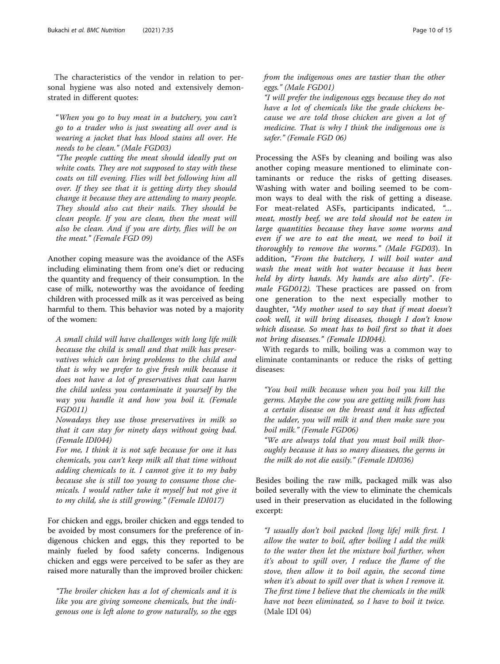The characteristics of the vendor in relation to personal hygiene was also noted and extensively demonstrated in different quotes:

"When you go to buy meat in a butchery, you can't go to a trader who is just sweating all over and is wearing a jacket that has blood stains all over. He needs to be clean." (Male FGD03)

"The people cutting the meat should ideally put on white coats. They are not supposed to stay with these coats on till evening. Flies will bet following him all over. If they see that it is getting dirty they should change it because they are attending to many people. They should also cut their nails. They should be clean people. If you are clean, then the meat will also be clean. And if you are dirty, flies will be on the meat." (Female FGD 09)

Another coping measure was the avoidance of the ASFs including eliminating them from one's diet or reducing the quantity and frequency of their consumption. In the case of milk, noteworthy was the avoidance of feeding children with processed milk as it was perceived as being harmful to them. This behavior was noted by a majority of the women:

A small child will have challenges with long life milk because the child is small and that milk has preservatives which can bring problems to the child and that is why we prefer to give fresh milk because it does not have a lot of preservatives that can harm the child unless you contaminate it yourself by the way you handle it and how you boil it. (Female FGD011)

Nowadays they use those preservatives in milk so that it can stay for ninety days without going bad. (Female IDI044)

For me, I think it is not safe because for one it has chemicals, you can't keep milk all that time without adding chemicals to it. I cannot give it to my baby because she is still too young to consume those chemicals. I would rather take it myself but not give it to my child, she is still growing." (Female IDI017)

For chicken and eggs, broiler chicken and eggs tended to be avoided by most consumers for the preference of indigenous chicken and eggs, this they reported to be mainly fueled by food safety concerns. Indigenous chicken and eggs were perceived to be safer as they are raised more naturally than the improved broiler chicken:

"The broiler chicken has a lot of chemicals and it is like you are giving someone chemicals, but the indigenous one is left alone to grow naturally, so the eggs from the indigenous ones are tastier than the other eggs." (Male FGD01)

"I will prefer the indigenous eggs because they do not have a lot of chemicals like the grade chickens because we are told those chicken are given a lot of medicine. That is why I think the indigenous one is safer." (Female FGD 06)

Processing the ASFs by cleaning and boiling was also another coping measure mentioned to eliminate contaminants or reduce the risks of getting diseases. Washing with water and boiling seemed to be common ways to deal with the risk of getting a disease. For meat-related ASFs, participants indicated, "… meat, mostly beef, we are told should not be eaten in large quantities because they have some worms and even if we are to eat the meat, we need to boil it thoroughly to remove the worms." (Male FGD03). In addition, "From the butchery, I will boil water and wash the meat with hot water because it has been held by dirty hands. My hands are also dirty". (Female FGD012). These practices are passed on from one generation to the next especially mother to daughter, "My mother used to say that if meat doesn't cook well, it will bring diseases, though I don't know which disease. So meat has to boil first so that it does not bring diseases." (Female IDI044).

With regards to milk, boiling was a common way to eliminate contaminants or reduce the risks of getting diseases:

"You boil milk because when you boil you kill the germs. Maybe the cow you are getting milk from has a certain disease on the breast and it has affected the udder, you will milk it and then make sure you boil milk." (Female FGD06)

"We are always told that you must boil milk thoroughly because it has so many diseases, the germs in the milk do not die easily." (Female IDI036)

Besides boiling the raw milk, packaged milk was also boiled severally with the view to eliminate the chemicals used in their preservation as elucidated in the following excerpt:

"I usually don't boil packed [long life] milk first. I allow the water to boil, after boiling I add the milk to the water then let the mixture boil further, when it's about to spill over, I reduce the flame of the stove, then allow it to boil again, the second time when it's about to spill over that is when I remove it. The first time I believe that the chemicals in the milk have not been eliminated, so I have to boil it twice. (Male IDI 04)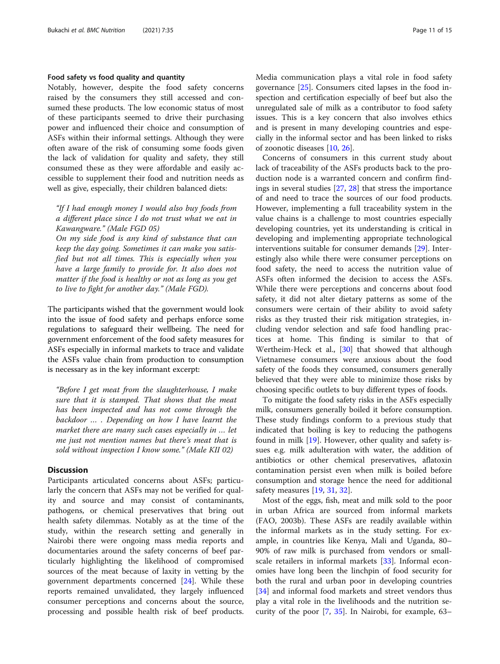# Food safety vs food quality and quantity

Notably, however, despite the food safety concerns raised by the consumers they still accessed and consumed these products. The low economic status of most of these participants seemed to drive their purchasing power and influenced their choice and consumption of ASFs within their informal settings. Although they were often aware of the risk of consuming some foods given the lack of validation for quality and safety, they still consumed these as they were affordable and easily accessible to supplement their food and nutrition needs as well as give, especially, their children balanced diets:

"If I had enough money I would also buy foods from a different place since I do not trust what we eat in Kawangware." (Male FGD 05)

On my side food is any kind of substance that can keep the day going. Sometimes it can make you satisfied but not all times. This is especially when you have a large family to provide for. It also does not matter if the food is healthy or not as long as you get to live to fight for another day." (Male FGD).

The participants wished that the government would look into the issue of food safety and perhaps enforce some regulations to safeguard their wellbeing. The need for government enforcement of the food safety measures for ASFs especially in informal markets to trace and validate the ASFs value chain from production to consumption is necessary as in the key informant excerpt:

"Before I get meat from the slaughterhouse, I make sure that it is stamped. That shows that the meat has been inspected and has not come through the backdoor … . Depending on how I have learnt the market there are many such cases especially in … let me just not mention names but there's meat that is sold without inspection I know some." (Male KII 02)

# **Discussion**

Participants articulated concerns about ASFs; particularly the concern that ASFs may not be verified for quality and source and may consist of contaminants, pathogens, or chemical preservatives that bring out health safety dilemmas. Notably as at the time of the study, within the research setting and generally in Nairobi there were ongoing mass media reports and documentaries around the safety concerns of beef particularly highlighting the likelihood of compromised sources of the meat because of laxity in vetting by the government departments concerned [[24](#page-14-0)]. While these reports remained unvalidated, they largely influenced consumer perceptions and concerns about the source, processing and possible health risk of beef products. Media communication plays a vital role in food safety governance [[25\]](#page-14-0). Consumers cited lapses in the food inspection and certification especially of beef but also the unregulated sale of milk as a contributor to food safety issues. This is a key concern that also involves ethics and is present in many developing countries and especially in the informal sector and has been linked to risks of zoonotic diseases [\[10](#page-13-0), [26\]](#page-14-0).

Concerns of consumers in this current study about lack of traceability of the ASFs products back to the production node is a warranted concern and confirm findings in several studies [\[27](#page-14-0), [28](#page-14-0)] that stress the importance of and need to trace the sources of our food products. However, implementing a full traceability system in the value chains is a challenge to most countries especially developing countries, yet its understanding is critical in developing and implementing appropriate technological interventions suitable for consumer demands [[29\]](#page-14-0). Interestingly also while there were consumer perceptions on food safety, the need to access the nutrition value of ASFs often informed the decision to access the ASFs. While there were perceptions and concerns about food safety, it did not alter dietary patterns as some of the consumers were certain of their ability to avoid safety risks as they trusted their risk mitigation strategies, including vendor selection and safe food handling practices at home. This finding is similar to that of Wertheim-Heck et al., [[30](#page-14-0)] that showed that although Vietnamese consumers were anxious about the food safety of the foods they consumed, consumers generally believed that they were able to minimize those risks by choosing specific outlets to buy different types of foods.

To mitigate the food safety risks in the ASFs especially milk, consumers generally boiled it before consumption. These study findings conform to a previous study that indicated that boiling is key to reducing the pathogens found in milk [[19\]](#page-13-0). However, other quality and safety issues e.g. milk adulteration with water, the addition of antibiotics or other chemical preservatives, aflatoxin contamination persist even when milk is boiled before consumption and storage hence the need for additional safety measures [[19,](#page-13-0) [31](#page-14-0), [32](#page-14-0)].

Most of the eggs, fish, meat and milk sold to the poor in urban Africa are sourced from informal markets (FAO, 2003b). These ASFs are readily available within the informal markets as in the study setting. For example, in countries like Kenya, Mali and Uganda, 80– 90% of raw milk is purchased from vendors or smallscale retailers in informal markets [[33](#page-14-0)]. Informal economies have long been the linchpin of food security for both the rural and urban poor in developing countries [[34\]](#page-14-0) and informal food markets and street vendors thus play a vital role in the livelihoods and the nutrition security of the poor [\[7](#page-13-0), [35](#page-14-0)]. In Nairobi, for example, 63–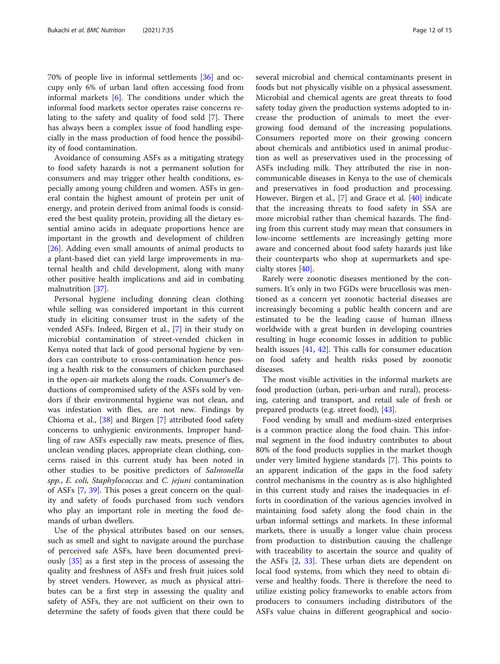70% of people live in informal settlements [[36](#page-14-0)] and occupy only 6% of urban land often accessing food from informal markets  $[6]$  $[6]$  $[6]$ . The conditions under which the informal food markets sector operates raise concerns relating to the safety and quality of food sold [[7\]](#page-13-0). There has always been a complex issue of food handling especially in the mass production of food hence the possibility of food contamination.

Avoidance of consuming ASFs as a mitigating strategy to food safety hazards is not a permanent solution for consumers and may trigger other health conditions, especially among young children and women. ASFs in general contain the highest amount of protein per unit of energy, and protein derived from animal foods is considered the best quality protein, providing all the dietary essential amino acids in adequate proportions hence are important in the growth and development of children [[26\]](#page-14-0). Adding even small amounts of animal products to a plant-based diet can yield large improvements in maternal health and child development, along with many other positive health implications and aid in combating malnutrition [\[37](#page-14-0)].

Personal hygiene including donning clean clothing while selling was considered important in this current study in eliciting consumer trust in the safety of the vended ASFs. Indeed, Birgen et al., [[7\]](#page-13-0) in their study on microbial contamination of street-vended chicken in Kenya noted that lack of good personal hygiene by vendors can contribute to cross-contamination hence posing a health risk to the consumers of chicken purchased in the open-air markets along the roads. Consumer's deductions of compromised safety of the ASFs sold by vendors if their environmental hygiene was not clean, and was infestation with flies, are not new. Findings by Chioma et al., [[38](#page-14-0)] and Birgen [\[7](#page-13-0)] attributed food safety concerns to unhygienic environments. Improper handling of raw ASFs especially raw meats, presence of flies, unclean vending places, appropriate clean clothing, concerns raised in this current study has been noted in other studies to be positive predictors of Salmonella spp., E. coli, Staphylococcus and C. jejuni contamination of ASFs [\[7](#page-13-0), [39\]](#page-14-0). This poses a great concern on the quality and safety of foods purchased from such vendors who play an important role in meeting the food demands of urban dwellers.

Use of the physical attributes based on our senses, such as smell and sight to navigate around the purchase of perceived safe ASFs, have been documented previously [[35\]](#page-14-0) as a first step in the process of assessing the quality and freshness of ASFs and fresh fruit juices sold by street venders. However, as much as physical attributes can be a first step in assessing the quality and safety of ASFs, they are not sufficient on their own to determine the safety of foods given that there could be several microbial and chemical contaminants present in foods but not physically visible on a physical assessment. Microbial and chemical agents are great threats to food safety today given the production systems adopted to increase the production of animals to meet the evergrowing food demand of the increasing populations. Consumers reported more on their growing concern about chemicals and antibiotics used in animal production as well as preservatives used in the processing of ASFs including milk. They attributed the rise in noncommunicable diseases in Kenya to the use of chemicals and preservatives in food production and processing. However, Birgen et al., [[7\]](#page-13-0) and Grace et al. [\[40\]](#page-14-0) indicate that the increasing threats to food safety in SSA are more microbial rather than chemical hazards. The finding from this current study may mean that consumers in low-income settlements are increasingly getting more aware and concerned about food safety hazards just like their counterparts who shop at supermarkets and specialty stores [\[40](#page-14-0)].

Rarely were zoonotic diseases mentioned by the consumers. It's only in two FGDs were brucellosis was mentioned as a concern yet zoonotic bacterial diseases are increasingly becoming a public health concern and are estimated to be the leading cause of human illness worldwide with a great burden in developing countries resulting in huge economic losses in addition to public health issues [\[41](#page-14-0), [42\]](#page-14-0). This calls for consumer education on food safety and health risks posed by zoonotic diseases.

The most visible activities in the informal markets are food production (urban, peri-urban and rural), processing, catering and transport, and retail sale of fresh or prepared products (e.g. street food), [\[43](#page-14-0)].

Food vending by small and medium-sized enterprises is a common practice along the food chain. This informal segment in the food industry contributes to about 80% of the food products supplies in the market though under very limited hygiene standards [[7\]](#page-13-0). This points to an apparent indication of the gaps in the food safety control mechanisms in the country as is also highlighted in this current study and raises the inadequacies in efforts in coordination of the various agencies involved in maintaining food safety along the food chain in the urban informal settings and markets. In these informal markets, there is usually a longer value chain process from production to distribution causing the challenge with traceability to ascertain the source and quality of the ASFs [[2,](#page-13-0) [33](#page-14-0)]. These urban diets are dependent on local food systems, from which they need to obtain diverse and healthy foods. There is therefore the need to utilize existing policy frameworks to enable actors from producers to consumers including distributors of the ASFs value chains in different geographical and socio-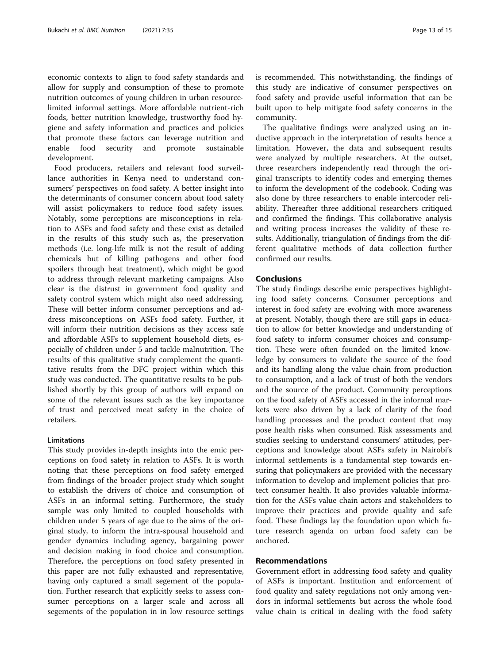economic contexts to align to food safety standards and allow for supply and consumption of these to promote nutrition outcomes of young children in urban resourcelimited informal settings. More affordable nutrient-rich foods, better nutrition knowledge, trustworthy food hygiene and safety information and practices and policies that promote these factors can leverage nutrition and enable food security and promote sustainable development.

Food producers, retailers and relevant food surveillance authorities in Kenya need to understand consumers' perspectives on food safety. A better insight into the determinants of consumer concern about food safety will assist policymakers to reduce food safety issues. Notably, some perceptions are misconceptions in relation to ASFs and food safety and these exist as detailed in the results of this study such as, the preservation methods (i.e. long-life milk is not the result of adding chemicals but of killing pathogens and other food spoilers through heat treatment), which might be good to address through relevant marketing campaigns. Also clear is the distrust in government food quality and safety control system which might also need addressing. These will better inform consumer perceptions and address misconceptions on ASFs food safety. Further, it will inform their nutrition decisions as they access safe and affordable ASFs to supplement household diets, especially of children under 5 and tackle malnutrition. The results of this qualitative study complement the quantitative results from the DFC project within which this study was conducted. The quantitative results to be published shortly by this group of authors will expand on some of the relevant issues such as the key importance of trust and perceived meat safety in the choice of retailers.

# Limitations

This study provides in-depth insights into the emic perceptions on food safety in relation to ASFs. It is worth noting that these perceptions on food safety emerged from findings of the broader project study which sought to establish the drivers of choice and consumption of ASFs in an informal setting. Furthermore, the study sample was only limited to coupled households with children under 5 years of age due to the aims of the original study, to inform the intra-spousal household and gender dynamics including agency, bargaining power and decision making in food choice and consumption. Therefore, the perceptions on food safety presented in this paper are not fully exhausted and representative, having only captured a small segement of the population. Further research that explicitly seeks to assess consumer perceptions on a larger scale and across all segements of the population in in low resource settings

is recommended. This notwithstanding, the findings of this study are indicative of consumer perspectives on food safety and provide useful information that can be built upon to help mitigate food safety concerns in the community.

The qualitative findings were analyzed using an inductive approach in the interpretation of results hence a limitation. However, the data and subsequent results were analyzed by multiple researchers. At the outset, three researchers independently read through the original transcripts to identify codes and emerging themes to inform the development of the codebook. Coding was also done by three researchers to enable intercoder reliability. Thereafter three additional researchers critiqued and confirmed the findings. This collaborative analysis and writing process increases the validity of these results. Additionally, triangulation of findings from the different qualitative methods of data collection further confirmed our results.

# **Conclusions**

The study findings describe emic perspectives highlighting food safety concerns. Consumer perceptions and interest in food safety are evolving with more awareness at present. Notably, though there are still gaps in education to allow for better knowledge and understanding of food safety to inform consumer choices and consumption. These were often founded on the limited knowledge by consumers to validate the source of the food and its handling along the value chain from production to consumption, and a lack of trust of both the vendors and the source of the product. Community perceptions on the food safety of ASFs accessed in the informal markets were also driven by a lack of clarity of the food handling processes and the product content that may pose health risks when consumed. Risk assessments and studies seeking to understand consumers' attitudes, perceptions and knowledge about ASFs safety in Nairobi's informal settlements is a fundamental step towards ensuring that policymakers are provided with the necessary information to develop and implement policies that protect consumer health. It also provides valuable information for the ASFs value chain actors and stakeholders to improve their practices and provide quality and safe food. These findings lay the foundation upon which future research agenda on urban food safety can be anchored.

# Recommendations

Government effort in addressing food safety and quality of ASFs is important. Institution and enforcement of food quality and safety regulations not only among vendors in informal settlements but across the whole food value chain is critical in dealing with the food safety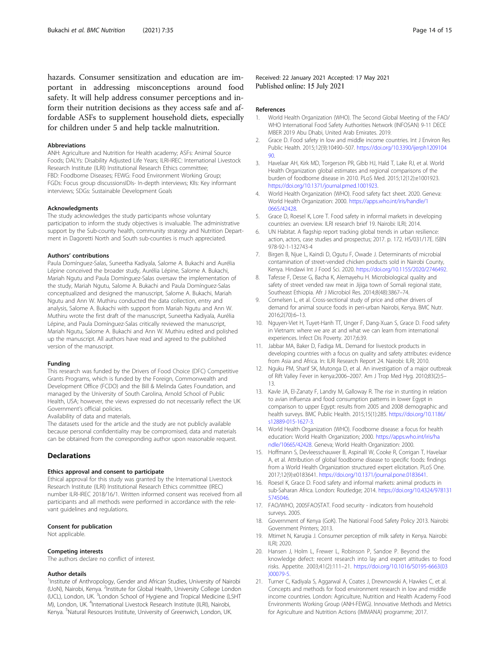<span id="page-13-0"></span>hazards. Consumer sensitization and education are important in addressing misconceptions around food safety. It will help address consumer perceptions and inform their nutrition decisions as they access safe and affordable ASFs to supplement household diets, especially for children under 5 and help tackle malnutrition.

#### Abbreviations

ANH: Agriculture and Nutrition for Health academy; ASFs: Animal Source Foods; DALYs: Disability Adjusted Life Years; ILRI-IREC: International Livestock Research Institute (ILRI) Institutional Research Ethics committee; FBD: Foodborne Diseases; FEWG: Food Environment Working Group; FGDs: Focus group discussionsIDIs- In-depth interviews; KIIs: Key informant interviews; SDGs: Sustainable Development Goals

#### Acknowledgments

The study acknowledges the study participants whose voluntary participation to inform the study objectives is invaluable. The administrative support by the Sub-county health, community strategy and Nutrition Department in Dagoretti North and South sub-counties is much appreciated.

# Authors' contributions

Paula Domínguez-Salas, Suneetha Kadiyala, Salome A. Bukachi and Aurélia Lépine conceived the broader study, Aurélia Lépine, Salome A. Bukachi, Mariah Ngutu and Paula Domínguez-Salas oversaw the implementation of the study, Mariah Ngutu, Salome A. Bukachi and Paula Domínguez-Salas conceptualized and designed the manuscript, Salome A. Bukachi, Mariah Ngutu and Ann W. Muthiru conducted the data collection, entry and analysis, Salome A. Bukachi with support from Mariah Ngutu and Ann W. Muthiru wrote the first draft of the manuscript, Suneetha Kadiyala, Aurélia Lépine, and Paula Domínguez-Salas critically reviewed the manuscript, Mariah Ngutu, Salome A. Bukachi and Ann W. Muthiru edited and polished up the manuscript. All authors have read and agreed to the published version of the manuscript.

#### Funding

This research was funded by the Drivers of Food Choice (DFC) Competitive Grants Programs, which is funded by the Foreign, Commonwealth and Development Office (FCDO) and the Bill & Melinda Gates Foundation, and managed by the University of South Carolina, Arnold School of Public Health, USA; however, the views expressed do not necessarily reflect the UK Government's official policies.

Availability of data and materials.

The datasets used for the article and the study are not publicly available because personal confidentiality may be compromised, data and materials can be obtained from the corresponding author upon reasonable request.

# **Declarations**

#### Ethics approval and consent to participate

Ethical approval for this study was granted by the International Livestock Research Institute (ILRI) Institutional Research Ethics committee (IREC) number ILRI-IREC 2018/16/1. Written informed consent was received from all participants and all methods were performed in accordance with the relevant guidelines and regulations.

#### Consent for publication

Not applicable.

#### Competing interests

The authors declare no conflict of interest.

# Author details

<sup>1</sup>Institute of Anthropology, Gender and African Studies, University of Nairobi (UoN), Nairobi, Kenya. <sup>2</sup>Institute for Global Health, University College London (UCL), London, UK. <sup>3</sup> London School of Hygiene and Tropical Medicine (LSHT M), London, UK. <sup>4</sup>International Livestock Research Institute (ILRI), Nairobi, Kenya. <sup>5</sup>Natural Resources Institute, University of Greenwich, London, UK.

Received: 22 January 2021 Accepted: 17 May 2021 Published online: 15 July 2021

#### References

- 1. World Health Organization (WHO). The Second Global Meeting of the FAO/ WHO International Food Safety Authorities Network (INFOSAN) 9-11 DECE MBER 2019 Abu Dhabi, United Arab Emirates. 2019.
- 2. Grace D. Food safety in low and middle income countries. Int J Environ Res Public Health. 2015;12(9):10490–507. [https://doi.org/10.3390/ijerph1209104](https://doi.org/10.3390/ijerph120910490) [90.](https://doi.org/10.3390/ijerph120910490)
- 3. Havelaar AH, Kirk MD, Torgerson PR, Gibb HJ, Hald T, Lake RJ, et al. World Health Organization global estimates and regional comparisons of the burden of foodborne disease in 2010. PLoS Med. 2015;12(12):e1001923. [https://doi.org/10.1371/journal.pmed.1001923.](https://doi.org/10.1371/journal.pmed.1001923)
- 4. World Health Organization (WHO). Food safety fact sheet. 2020. Geneva: World Health Organization: 2000. [https://apps.who.int/iris/handle/1](https://apps.who.int/iris/handle/10665/42428) [0665/42428.](https://apps.who.int/iris/handle/10665/42428)
- 5. Grace D, Roesel K, Lore T. Food safety in informal markets in developing countries: an overview. ILRI research brief 19. Nairobi: ILRI; 2014.
- 6. UN Habitat. A flagship report tracking global trends in urban resilience: action, actors, case studies and prospectus; 2017. p. 172. HS/031/17E. ISBN 978-92-1-132743-4
- 7. Birgen B, Njue L, Kaindi D, Ogutu F, Owade J. Determinants of microbial contamination of street-vended chicken products sold in Nairobi County, Kenya. Hindawi Int J Food Sci. 2020. [https://doi.org/10.1155/2020/2746492.](https://doi.org/10.1155/2020/2746492)
- 8. Tafesse F, Desse G, Bacha K, Alemayehu H. Microbiological quality and safety of street vended raw meat in Jijiga town of Somali regional state, Southeast Ethiopia. Afr J Microbiol Res. 2014;8(48):3867–74.
- 9. Cornelsen L, et al. Cross-sectional study of price and other drivers of demand for animal source foods in peri-urban Nairobi, Kenya. BMC Nutr. 2016;2(70):6–13.
- 10. Nguyen-Viet H, Tuyet-Hanh TT, Unger F, Dang-Xuan S, Grace D. Food safety in Vietnam: where we are at and what we can learn from international experiences. Infect Dis Poverty. 2017;6:39.
- 11. Jabbar MA, Baker D, Fadiga ML. Demand for livestock products in developing countries with a focus on quality and safety attributes: evidence from Asia and Africa. In: ILRI Research Report 24. Nairobi: ILRI; 2010.
- 12. Nguku PM, Sharif SK, Mutonga D, et al. An investigation of a major outbreak of Rift Valley Fever in kenya:2006–2007. Am J Trop Med Hyg. 2010;83(2):5– 13.
- 13. Kavle JA, El-Zanaty F, Landry M, Galloway R. The rise in stunting in relation to avian influenza and food consumption patterns in lower Egypt in comparison to upper Egypt: results from 2005 and 2008 demographic and health surveys. BMC Public Health. 2015;15(1):285. [https://doi.org/10.1186/](https://doi.org/10.1186/s12889-015-1627-3) [s12889-015-1627-3.](https://doi.org/10.1186/s12889-015-1627-3)
- 14. World Health Organization (WHO). Foodborne disease: a focus for health education: World Health Organization; 2000. [https://apps.who.int/iris/ha](https://apps.who.int/iris/handle/10665/42428) [ndle/10665/42428](https://apps.who.int/iris/handle/10665/42428). Geneva; World Health Organization: 2000.
- 15. Hoffmann S, Devleesschauwer B, Aspinall W, Cooke R, Corrigan T, Havelaar A, et al. Attribution of global foodborne disease to specific foods: findings from a World Health Organization structured expert elicitation. PLoS One. 2017;12(9):e0183641. <https://doi.org/10.1371/journal.pone.0183641>.
- 16. Roesel K, Grace D. Food safety and informal markets: animal products in sub-Saharan Africa. London: Routledge; 2014. [https://doi.org/10.4324/978131](https://doi.org/10.4324/9781315745046) [5745046.](https://doi.org/10.4324/9781315745046)
- 17. FAO/WHO, 2005FAOSTAT. Food security indicators from household surveys. 2005.
- 18. Government of Kenya (GoK). The National Food Safety Policy 2013. Nairobi: Government Printers; 2013.
- 19. Mtimet N, Karugia J. Consumer perception of milk safety in Kenya. Nairobi: ILRI; 2020.
- 20. Hansen J, Holm L, Frewer L, Robinson P, Sandoe P. Beyond the knowledge defect: recent research into lay and expert attitudes to food risks. Appetite. 2003;41(2):111–21. [https://doi.org/10.1016/S0195-6663\(03](https://doi.org/10.1016/S0195-6663(03)00079-5) [\)00079-5.](https://doi.org/10.1016/S0195-6663(03)00079-5)
- 21. Turner C, Kadiyala S, Aggarwal A, Coates J, Drewnowski A, Hawkes C, et al. Concepts and methods for food environment research in low and middle income countries. London: Agriculture, Nutrition and Health Academy Food Environments Working Group (ANH-FEWG). Innovative Methods and Metrics for Agriculture and Nutrition Actions (IMMANA) programme; 2017.